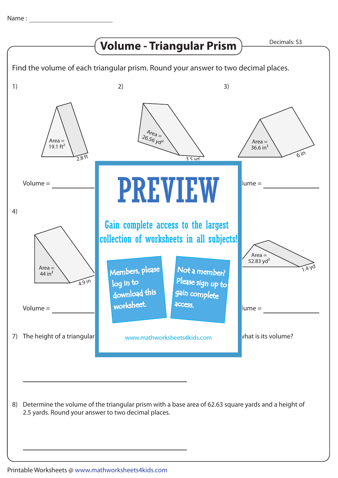